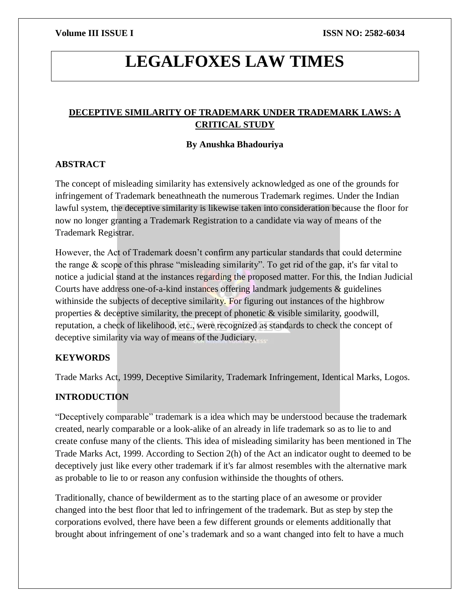# **LEGALFOXES LAW TIMES**

# **DECEPTIVE SIMILARITY OF TRADEMARK UNDER TRADEMARK LAWS: A CRITICAL STUDY**

# **By Anushka Bhadouriya**

# **ABSTRACT**

The concept of misleading similarity has extensively acknowledged as one of the grounds for infringement of Trademark beneathneath the numerous Trademark regimes. Under the Indian lawful system, the deceptive similarity is likewise taken into consideration because the floor for now no longer granting a Trademark Registration to a candidate via way of means of the Trademark Registrar.

However, the Act of Trademark doesn't confirm any particular standards that could determine the range  $\&$  scope of this phrase "misleading similarity". To get rid of the gap, it's far vital to notice a judicial stand at the instances regarding the proposed matter. For this, the Indian Judicial Courts have address one-of-a-kind instances offering landmark judgements & guidelines withinside the subjects of deceptive similarity. For figuring out instances of the highbrow properties  $\&$  deceptive similarity, the precept of phonetic  $\&$  visible similarity, goodwill, reputation, a check of likelihood, etc., were recognized as standards to check the concept of deceptive similarity via way of means of the Judiciary.

# **KEYWORDS**

Trade Marks Act, 1999, Deceptive Similarity, Trademark Infringement, Identical Marks, Logos.

# **INTRODUCTION**

"Deceptively comparable" trademark is a idea which may be understood because the trademark created, nearly comparable or a look-alike of an already in life trademark so as to lie to and create confuse many of the clients. This idea of misleading similarity has been mentioned in The Trade Marks Act, 1999. According to Section 2(h) of the Act an indicator ought to deemed to be deceptively just like every other trademark if it's far almost resembles with the alternative mark as probable to lie to or reason any confusion withinside the thoughts of others.

Traditionally, chance of bewilderment as to the starting place of an awesome or provider changed into the best floor that led to infringement of the trademark. But as step by step the corporations evolved, there have been a few different grounds or elements additionally that brought about infringement of one's trademark and so a want changed into felt to have a much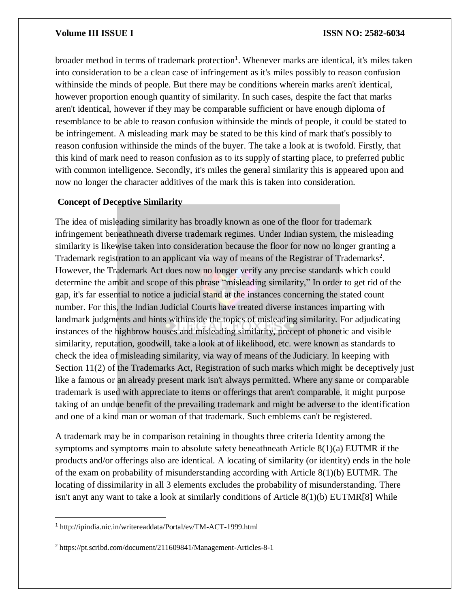broader method in terms of trademark protection<sup>1</sup>. Whenever marks are identical, it's miles taken into consideration to be a clean case of infringement as it's miles possibly to reason confusion withinside the minds of people. But there may be conditions wherein marks aren't identical, however proportion enough quantity of similarity. In such cases, despite the fact that marks aren't identical, however if they may be comparable sufficient or have enough diploma of resemblance to be able to reason confusion withinside the minds of people, it could be stated to be infringement. A misleading mark may be stated to be this kind of mark that's possibly to reason confusion withinside the minds of the buyer. The take a look at is twofold. Firstly, that this kind of mark need to reason confusion as to its supply of starting place, to preferred public with common intelligence. Secondly, it's miles the general similarity this is appeared upon and now no longer the character additives of the mark this is taken into consideration.

# **Concept of Deceptive Similarity**

The idea of misleading similarity has broadly known as one of the floor for trademark infringement beneathneath diverse trademark regimes. Under Indian system, the misleading similarity is likewise taken into consideration because the floor for now no longer granting a Trademark registration to an applicant via way of means of the Registrar of Trademarks<sup>2</sup>. However, the Trademark Act does now no longer verify any precise standards which could determine the ambit and scope of this phrase "misleading similarity," In order to get rid of the gap, it's far essential to notice a judicial stand at the instances concerning the stated count number. For this, the Indian Judicial Courts have treated diverse instances imparting with landmark judgments and hints withinside the topics of misleading similarity. For adjudicating instances of the highbrow houses and misleading similarity, precept of phonetic and visible similarity, reputation, goodwill, take a look at of likelihood, etc. were known as standards to check the idea of misleading similarity, via way of means of the Judiciary. In keeping with Section 11(2) of the Trademarks Act, Registration of such marks which might be deceptively just like a famous or an already present mark isn't always permitted. Where any same or comparable trademark is used with appreciate to items or offerings that aren't comparable, it might purpose taking of an undue benefit of the prevailing trademark and might be adverse to the identification and one of a kind man or woman of that trademark. Such emblems can't be registered.

A trademark may be in comparison retaining in thoughts three criteria Identity among the symptoms and symptoms main to absolute safety beneathneath Article 8(1)(a) EUTMR if the products and/or offerings also are identical. A locating of similarity (or identity) ends in the hole of the exam on probability of misunderstanding according with Article 8(1)(b) EUTMR. The locating of dissimilarity in all 3 elements excludes the probability of misunderstanding. There isn't anyt any want to take a look at similarly conditions of Article 8(1)(b) EUTMR[8] While

 $\overline{\phantom{a}}$ 

<sup>1</sup> http://ipindia.nic.in/writereaddata/Portal/ev/TM-ACT-1999.html

<sup>2</sup> https://pt.scribd.com/document/211609841/Management-Articles-8-1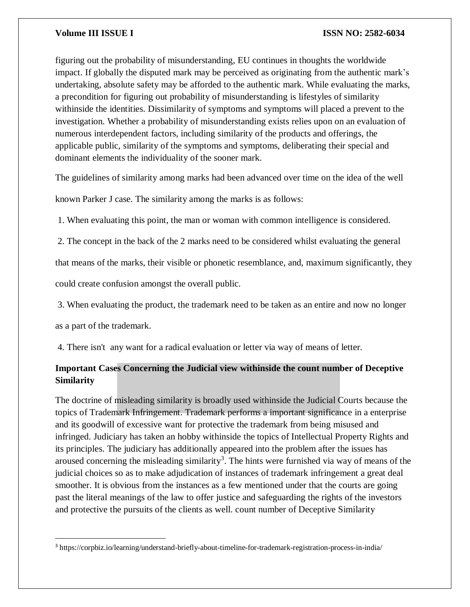figuring out the probability of misunderstanding, EU continues in thoughts the worldwide impact. If globally the disputed mark may be perceived as originating from the authentic mark's undertaking, absolute safety may be afforded to the authentic mark. While evaluating the marks, a precondition for figuring out probability of misunderstanding is lifestyles of similarity withinside the identities. Dissimilarity of symptoms and symptoms will placed a prevent to the investigation. Whether a probability of misunderstanding exists relies upon on an evaluation of numerous interdependent factors, including similarity of the products and offerings, the applicable public, similarity of the symptoms and symptoms, deliberating their special and dominant elements the individuality of the sooner mark.

The guidelines of similarity among marks had been advanced over time on the idea of the well

known Parker J case. The similarity among the marks is as follows:

1. When evaluating this point, the man or woman with common intelligence is considered.

2. The concept in the back of the 2 marks need to be considered whilst evaluating the general

that means of the marks, their visible or phonetic resemblance, and, maximum significantly, they

could create confusion amongst the overall public.

3. When evaluating the product, the trademark need to be taken as an entire and now no longer

as a part of the trademark.

 $\overline{a}$ 

4. There isn't any want for a radical evaluation or letter via way of means of letter.

# **Important Cases Concerning the Judicial view withinside the count number of Deceptive Similarity**

The doctrine of misleading similarity is broadly used withinside the Judicial Courts because the topics of Trademark Infringement. Trademark performs a important significance in a enterprise and its goodwill of excessive want for protective the trademark from being misused and infringed. Judiciary has taken an hobby withinside the topics of Intellectual Property Rights and its principles. The judiciary has additionally appeared into the problem after the issues has aroused concerning the misleading similarity<sup>3</sup>. The hints were furnished via way of means of the judicial choices so as to make adjudication of instances of trademark infringement a great deal smoother. It is obvious from the instances as a few mentioned under that the courts are going past the literal meanings of the law to offer justice and safeguarding the rights of the investors and protective the pursuits of the clients as well. count number of Deceptive Similarity

<sup>3</sup> https://corpbiz.io/learning/understand-briefly-about-timeline-for-trademark-registration-process-in-india/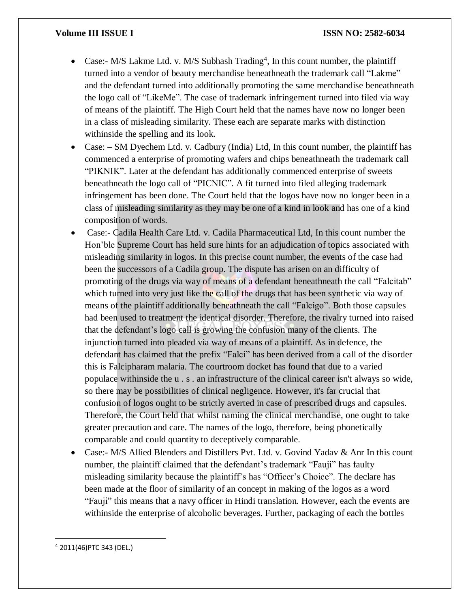- Case:- M/S Lakme Ltd. v. M/S Subhash Trading<sup>4</sup>, In this count number, the plaintiff turned into a vendor of beauty merchandise beneathneath the trademark call "Lakme" and the defendant turned into additionally promoting the same merchandise beneathneath the logo call of "LikeMe". The case of trademark infringement turned into filed via way of means of the plaintiff. The High Court held that the names have now no longer been in a class of misleading similarity. These each are separate marks with distinction withinside the spelling and its look.
- Case: SM Dyechem Ltd. v. Cadbury (India) Ltd, In this count number, the plaintiff has commenced a enterprise of promoting wafers and chips beneathneath the trademark call "PIKNIK". Later at the defendant has additionally commenced enterprise of sweets beneathneath the logo call of "PICNIC". A fit turned into filed alleging trademark infringement has been done. The Court held that the logos have now no longer been in a class of misleading similarity as they may be one of a kind in look and has one of a kind composition of words.
- Case:- Cadila Health Care Ltd. v. Cadila Pharmaceutical Ltd, In this count number the Hon'ble Supreme Court has held sure hints for an adjudication of topics associated with misleading similarity in logos. In this precise count number, the events of the case had been the successors of a Cadila group. The dispute has arisen on an difficulty of promoting of the drugs via way of means of a defendant beneathneath the call "Falcitab" which turned into very just like the call of the drugs that has been synthetic via way of means of the plaintiff additionally beneathneath the call "Falcigo". Both those capsules had been used to treatment the identical disorder. Therefore, the rivalry turned into raised that the defendant's logo call is growing the confusion many of the clients. The injunction turned into pleaded via way of means of a plaintiff. As in defence, the defendant has claimed that the prefix "Falci" has been derived from a call of the disorder this is Falcipharam malaria. The courtroom docket has found that due to a varied populace withinside the u . s . an infrastructure of the clinical career isn't always so wide, so there may be possibilities of clinical negligence. However, it's far crucial that confusion of logos ought to be strictly averted in case of prescribed drugs and capsules. Therefore, the Court held that whilst naming the clinical merchandise, one ought to take greater precaution and care. The names of the logo, therefore, being phonetically comparable and could quantity to deceptively comparable.
- Case:- M/S Allied Blenders and Distillers Pvt. Ltd. v. Govind Yadav & Anr In this count number, the plaintiff claimed that the defendant's trademark "Fauji" has faulty misleading similarity because the plaintiff's has "Officer's Choice". The declare has been made at the floor of similarity of an concept in making of the logos as a word "Fauji" this means that a navy officer in Hindi translation. However, each the events are withinside the enterprise of alcoholic beverages. Further, packaging of each the bottles

 $\overline{a}$ 

<sup>4</sup> 2011(46)PTC 343 (DEL.)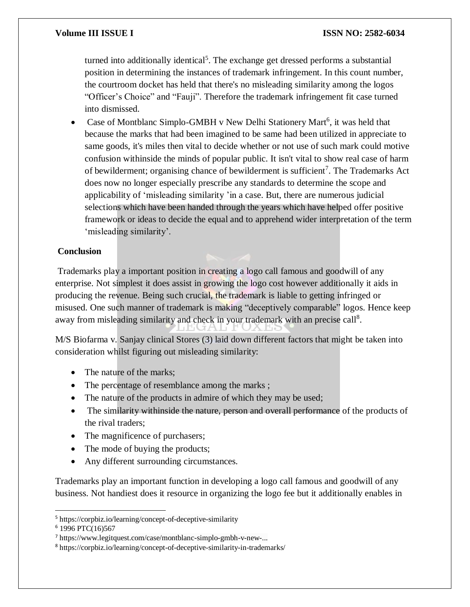turned into additionally identical<sup>5</sup>. The exchange get dressed performs a substantial position in determining the instances of trademark infringement. In this count number, the courtroom docket has held that there's no misleading similarity among the logos "Officer's Choice" and "Fauji". Therefore the trademark infringement fit case turned into dismissed.

• Case of Montblanc Simplo-GMBH v New Delhi Stationery Mart<sup>6</sup>, it was held that because the marks that had been imagined to be same had been utilized in appreciate to same goods, it's miles then vital to decide whether or not use of such mark could motive confusion withinside the minds of popular public. It isn't vital to show real case of harm of bewilderment; organising chance of bewilderment is sufficient<sup>7</sup>. The Trademarks Act does now no longer especially prescribe any standards to determine the scope and applicability of 'misleading similarity 'in a case. But, there are numerous judicial selections which have been handed through the years which have helped offer positive framework or ideas to decide the equal and to apprehend wider interpretation of the term 'misleading similarity'.

# **Conclusion**

Trademarks play a important position in creating a logo call famous and goodwill of any enterprise. Not simplest it does assist in growing the logo cost however additionally it aids in producing the revenue. Being such crucial, the trademark is liable to getting infringed or misused. One such manner of trademark is making "deceptively comparable" logos. Hence keep away from misleading similarity and check in your trademark with an precise call<sup>8</sup>.

M/S Biofarma v. Sanjay clinical Stores (3) laid down different factors that might be taken into consideration whilst figuring out misleading similarity:

- The nature of the marks:
- The percentage of resemblance among the marks ;
- The nature of the products in admire of which they may be used;
- The similarity withinside the nature, person and overall performance of the products of the rival traders;
- The magnificence of purchasers;
- The mode of buying the products;
- Any different surrounding circumstances.

Trademarks play an important function in developing a logo call famous and goodwill of any business. Not handiest does it resource in organizing the logo fee but it additionally enables in

 $\overline{a}$ 

<sup>5</sup> https://corpbiz.io/learning/concept-of-deceptive-similarity

<sup>6</sup> 1996 PTC(16)567

<sup>7</sup> https://www.legitquest.com/case/montblanc-simplo-gmbh-v-new-...

<sup>8</sup> https://corpbiz.io/learning/concept-of-deceptive-similarity-in-trademarks/